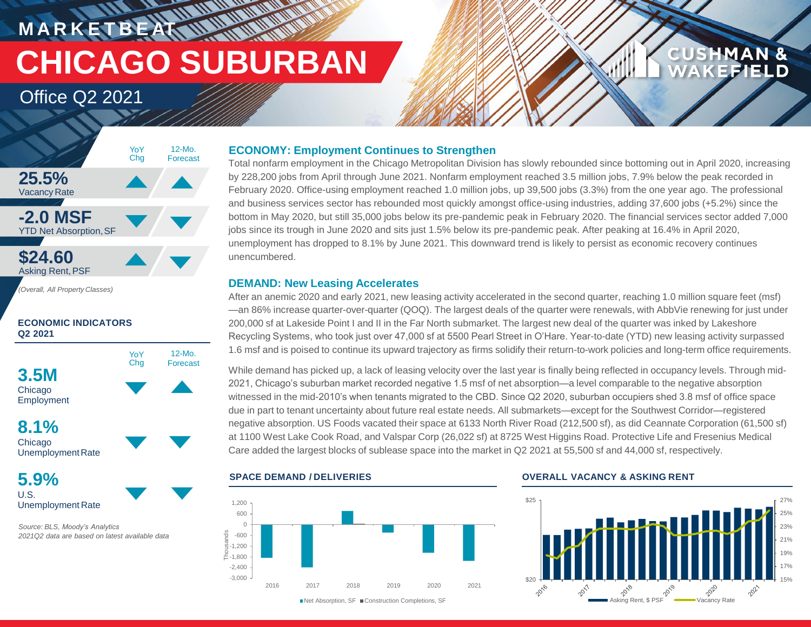# **M A R K E T B E AT CHICAGO SUBURBAN**

**HATTAN** 

## Office Q2 2021



#### **ECONOMIC INDICATORS Q2 2021**



UnemploymentRate

### **5.9%** U.S. Unemployment Rate

*Source: BLS, Moody's Analytics 2021Q2 data are based on latest available data*

### **ECONOMY: Employment Continues to Strengthen**

Total nonfarm employment in the Chicago Metropolitan Division has slowly rebounded since bottoming out in April 2020, increasing by 228,200 jobs from April through June 2021. Nonfarm employment reached 3.5 million jobs, 7.9% below the peak recorded in February 2020. Office-using employment reached 1.0 million jobs, up 39,500 jobs (3.3%) from the one year ago. The professional and business services sector has rebounded most quickly amongst office-using industries, adding 37,600 jobs (+5.2%) since the bottom in May 2020, but still 35,000 jobs below its pre-pandemic peak in February 2020. The financial services sector added 7,000 jobs since its trough in June 2020 and sits just 1.5% below its pre-pandemic peak. After peaking at 16.4% in April 2020, unemployment has dropped to 8.1% by June 2021. This downward trend is likely to persist as economic recovery continues unencumbered.

#### **DEMAND: New Leasing Accelerates**

After an anemic 2020 and early 2021, new leasing activity accelerated in the second quarter, reaching 1.0 million square feet (msf) —an 86% increase quarter-over-quarter (QOQ). The largest deals of the quarter were renewals, with AbbVie renewing for just under 200,000 sf at Lakeside Point I and II in the Far North submarket. The largest new deal of the quarter was inked by Lakeshore Recycling Systems, who took just over 47,000 sf at 5500 Pearl Street in O'Hare. Year-to-date (YTD) new leasing activity surpassed 1.6 msf and is poised to continue its upward trajectory as firms solidify their return-to-work policies and long-term office requirements.

While demand has picked up, a lack of leasing velocity over the last year is finally being reflected in occupancy levels. Through mid-2021, Chicago's suburban market recorded negative 1.5 msf of net absorption—a level comparable to the negative absorption witnessed in the mid-2010's when tenants migrated to the CBD. Since Q2 2020, suburban occupiers shed 3.8 msf of office space due in part to tenant uncertainty about future real estate needs. All submarkets—except for the Southwest Corridor—registered negative absorption. US Foods vacated their space at 6133 North River Road (212,500 sf), as did Ceannate Corporation (61,500 sf) at 1100 West Lake Cook Road, and Valspar Corp (26,022 sf) at 8725 West Higgins Road. Protective Life and Fresenius Medical Care added the largest blocks of sublease space into the market in Q2 2021 at 55,500 sf and 44,000 sf, respectively.



#### **SPACE DEMAND / DELIVERIES OVERALL VACANCY & ASKING RENT**



**CUSHMAN &** 

FFIEI D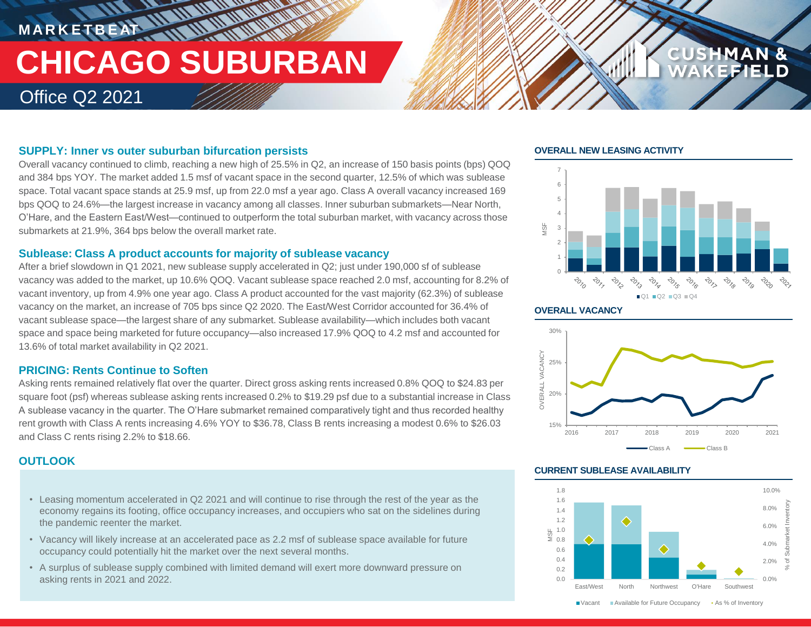## **MARKETBEAT 11 MMWWWW THE ULTIMATER CHICAGO SUBURBAN** Office Q2 2021

#### **SUPPLY: Inner vs outer suburban bifurcation persists**

Overall vacancy continued to climb, reaching a new high of 25.5% in Q2, an increase of 150 basis points (bps) QOQ and 384 bps YOY. The market added 1.5 msf of vacant space in the second quarter, 12.5% of which was sublease space. Total vacant space stands at 25.9 msf, up from 22.0 msf a year ago. Class A overall vacancy increased 169 bps QOQ to 24.6%—the largest increase in vacancy among all classes. Inner suburban submarkets—Near North, O'Hare, and the Eastern East/West—continued to outperform the total suburban market, with vacancy across those submarkets at 21.9%, 364 bps below the overall market rate.

#### **Sublease: Class A product accounts for majority of sublease vacancy**

After a brief slowdown in Q1 2021, new sublease supply accelerated in Q2; just under 190,000 sf of sublease vacancy was added to the market, up 10.6% QOQ. Vacant sublease space reached 2.0 msf, accounting for 8.2% of vacant inventory, up from 4.9% one year ago. Class A product accounted for the vast majority (62.3%) of sublease vacancy on the market, an increase of 705 bps since Q2 2020. The East/West Corridor accounted for 36.4% of vacant sublease space—the largest share of any submarket. Sublease availability—which includes both vacant space and space being marketed for future occupancy—also increased 17.9% QOQ to 4.2 msf and accounted for 13.6% of total market availability in Q2 2021.

#### **PRICING: Rents Continue to Soften**

Asking rents remained relatively flat over the quarter. Direct gross asking rents increased 0.8% QOQ to \$24.83 per square foot (psf) whereas sublease asking rents increased 0.2% to \$19.29 psf due to a substantial increase in Class A sublease vacancy in the quarter. The O'Hare submarket remained comparatively tight and thus recorded healthy rent growth with Class A rents increasing 4.6% YOY to \$36.78, Class B rents increasing a modest 0.6% to \$26.03 and Class C rents rising 2.2% to \$18.66.

### **OUTLOOK**

- Leasing momentum accelerated in Q2 2021 and will continue to rise through the rest of the year as the economy regains its footing, office occupancy increases, and occupiers who sat on the sidelines during the pandemic reenter the market.
- Vacancy will likely increase at an accelerated pace as 2.2 msf of sublease space available for future occupancy could potentially hit the market over the next several months.
- A surplus of sublease supply combined with limited demand will exert more downward pressure on asking rents in 2021 and 2022. 0.0%

#### **OVERALL NEW LEASING ACTIVITY**



**CUSHMAN &** 

#### **OVERALL VACANCY**



#### **CURRENT SUBLEASE AVAILABILITY**



■ Vacant Available for Future Occupancy • As % of Inventory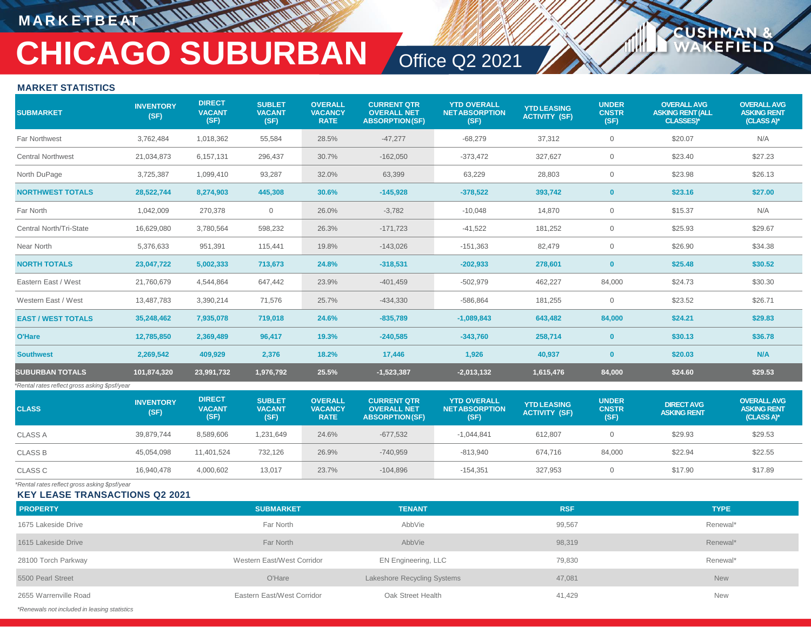## **M A R K E T B E AT**

# **CHICAGO SUBURBAN** Office Q2 2021

**USH** 

FI D

#### **MARKET STATISTICS**

| <b>SUBMARKET</b>                              | <b>INVENTORY</b><br>(SF) | <b>DIRECT</b><br><b>VACANT</b><br>(SF) | <b>SUBLET</b><br><b>VACANT</b><br>(SF) | <b>OVERALL</b><br><b>VACANCY</b><br><b>RATE</b> | <b>CURRENT QTR</b><br><b>OVERALL NET</b><br><b>ABSORPTION(SF)</b> | <b>YTD OVERALL</b><br><b>NETABSORPTION</b><br>(SF) | <b>YTD LEASING</b><br><b>ACTIVITY (SF)</b> | <b>UNDER</b><br><b>CNSTR</b><br>(SF) | <b>OVERALL AVG</b><br><b>ASKING RENT (ALL</b><br><b>CLASSES)*</b> | <b>OVERALL AVG</b><br><b>ASKING RENT</b><br>(CLASS A)* |
|-----------------------------------------------|--------------------------|----------------------------------------|----------------------------------------|-------------------------------------------------|-------------------------------------------------------------------|----------------------------------------------------|--------------------------------------------|--------------------------------------|-------------------------------------------------------------------|--------------------------------------------------------|
| Far Northwest                                 | 3,762,484                | 1,018,362                              | 55,584                                 | 28.5%                                           | $-47,277$                                                         | $-68,279$                                          | 37,312                                     | $\overline{0}$                       | \$20.07                                                           | N/A                                                    |
| <b>Central Northwest</b>                      | 21,034,873               | 6,157,131                              | 296,437                                | 30.7%                                           | $-162,050$                                                        | $-373,472$                                         | 327,627                                    | $\overline{0}$                       | \$23.40                                                           | \$27.23                                                |
| North DuPage                                  | 3,725,387                | 1,099,410                              | 93,287                                 | 32.0%                                           | 63,399                                                            | 63,229                                             | 28,803                                     | $\mathbf 0$                          | \$23.98                                                           | \$26.13                                                |
| <b>NORTHWEST TOTALS</b>                       | 28,522,744               | 8,274,903                              | 445,308                                | 30.6%                                           | $-145,928$                                                        | $-378,522$                                         | 393,742                                    | $\mathbf{0}$                         | \$23.16                                                           | \$27.00                                                |
| Far North                                     | 1,042,009                | 270,378                                | $\mathbf 0$                            | 26.0%                                           | $-3,782$                                                          | $-10,048$                                          | 14,870                                     | $\mathbf 0$                          | \$15.37                                                           | N/A                                                    |
| Central North/Tri-State                       | 16,629,080               | 3,780,564                              | 598,232                                | 26.3%                                           | $-171,723$                                                        | $-41,522$                                          | 181,252                                    | $\overline{0}$                       | \$25.93                                                           | \$29.67                                                |
| Near North                                    | 5,376,633                | 951,391                                | 115,441                                | 19.8%                                           | $-143,026$                                                        | $-151,363$                                         | 82,479                                     | $\overline{0}$                       | \$26.90                                                           | \$34.38                                                |
| <b>NORTH TOTALS</b>                           | 23,047,722               | 5,002,333                              | 713,673                                | 24.8%                                           | $-318,531$                                                        | $-202,933$                                         | 278,601                                    | $\mathbf{0}$                         | \$25.48                                                           | \$30.52                                                |
| Eastern East / West                           | 21,760,679               | 4,544,864                              | 647,442                                | 23.9%                                           | $-401,459$                                                        | $-502,979$                                         | 462,227                                    | 84,000                               | \$24.73                                                           | \$30.30                                                |
| Western East / West                           | 13,487,783               | 3,390,214                              | 71,576                                 | 25.7%                                           | $-434,330$                                                        | $-586,864$                                         | 181,255                                    | $\overline{0}$                       | \$23.52                                                           | \$26.71                                                |
| <b>EAST / WEST TOTALS</b>                     | 35,248,462               | 7,935,078                              | 719,018                                | 24.6%                                           | $-835,789$                                                        | $-1,089,843$                                       | 643,482                                    | 84,000                               | \$24.21                                                           | \$29.83                                                |
| O'Hare                                        | 12,785,850               | 2,369,489                              | 96,417                                 | 19.3%                                           | $-240.585$                                                        | $-343.760$                                         | 258.714                                    | $\mathbf{0}$                         | \$30.13                                                           | \$36.78                                                |
| <b>Southwest</b>                              | 2,269,542                | 409,929                                | 2,376                                  | 18.2%                                           | 17,446                                                            | 1,926                                              | 40,937                                     | $\mathbf{0}$                         | \$20.03                                                           | N/A                                                    |
| <b>SUBURBAN TOTALS</b>                        | 101,874,320              | 23,991,732                             | 1,976,792                              | 25.5%                                           | $-1,523,387$                                                      | $-2,013,132$                                       | 1,615,476                                  | 84,000                               | \$24.60                                                           | \$29.53                                                |
| *Rental rates reflect gross asking \$psf/year |                          |                                        |                                        |                                                 |                                                                   |                                                    |                                            |                                      |                                                                   |                                                        |
| <b>CLASS</b>                                  | <b>INVENTORY</b><br>(SF) | <b>DIRECT</b><br><b>VACANT</b><br>(SF) | <b>SUBLET</b><br><b>VACANT</b><br>(SF) | <b>OVERALL</b><br><b>VACANCY</b><br><b>RATE</b> | <b>CURRENT QTR</b><br><b>OVERALL NET</b><br><b>ABSORPTION(SF)</b> | <b>YTD OVERALL</b><br><b>NETABSORPTION</b><br>(SF) | <b>YTD LEASING</b><br><b>ACTIVITY (SF)</b> | <b>UNDER</b><br><b>CNSTR</b><br>(SF) | <b>DIRECT AVG</b><br><b>ASKING RENT</b>                           | <b>OVERALL AVG</b><br><b>ASKING RENT</b><br>(CLASS A)* |
| <b>CLASS A</b>                                | 39,879,744               | 8,589,606                              | 1,231,649                              | 24.6%                                           | $-677,532$                                                        | $-1,044,841$                                       | 612,807                                    | $\overline{0}$                       | \$29.93                                                           | \$29.53                                                |
| <b>CLASS B</b>                                | 45,054,098               | 11,401,524                             | 732,126                                | 26.9%                                           | $-740,959$                                                        | $-813,940$                                         | 674,716                                    | 84,000                               | \$22.94                                                           | \$22.55                                                |
| <b>CLASS C</b>                                | 16,940,478               | 4,000,602                              | 13,017                                 | 23.7%                                           | $-104,896$                                                        | $-154,351$                                         | 327,953                                    | $\overline{0}$                       | \$17.90                                                           | \$17.89                                                |
| *Rental rates reflect gross asking \$psf/year |                          |                                        |                                        |                                                 |                                                                   |                                                    |                                            |                                      |                                                                   |                                                        |

**KEY LEASE TRANSACTIONS Q2 2021**

| <b>PROPERTY</b>                              | <b>SUBMARKET</b>           | <b>TENANT</b>               | <b>RSF</b> | <b>TYPE</b> |
|----------------------------------------------|----------------------------|-----------------------------|------------|-------------|
| 1675 Lakeside Drive                          | Far North                  | AbbVie                      | 99,567     | Renewal*    |
| 1615 Lakeside Drive                          | Far North                  | AbbVie                      | 98,319     | Renewal*    |
| 28100 Torch Parkway                          | Western East/West Corridor | EN Engineering, LLC         | 79,830     | Renewal*    |
| 5500 Pearl Street                            | O'Hare                     | Lakeshore Recycling Systems | 47,081     | <b>New</b>  |
| 2655 Warrenville Road                        | Eastern East/West Corridor | Oak Street Health           | 41,429     | <b>New</b>  |
| *Renewals not included in leasing statistics |                            |                             |            |             |